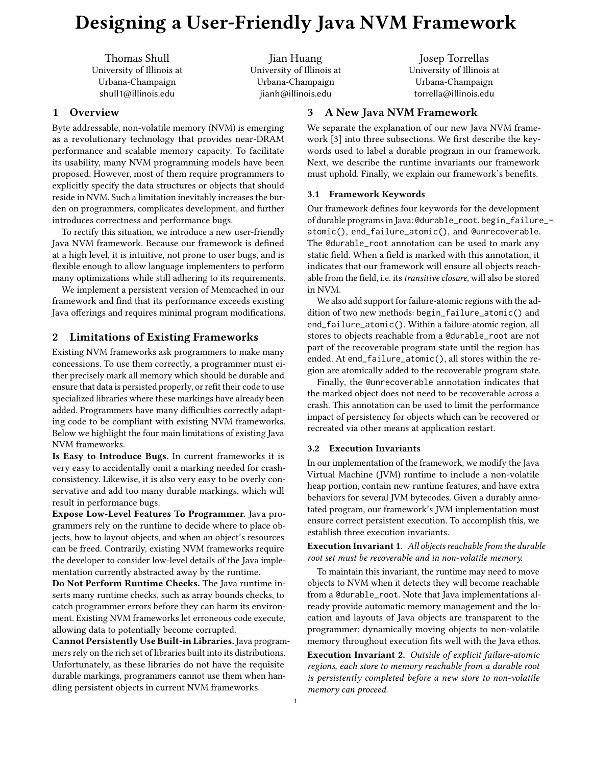# Designing a User-Friendly Java NVM Framework

Thomas Shull University of Illinois at Urbana-Champaign shull1@illinois.edu

Jian Huang University of Illinois at Urbana-Champaign jianh@illinois.edu

# 1 Overview

Byte addressable, non-volatile memory (NVM) is emerging as a revolutionary technology that provides near-DRAM performance and scalable memory capacity. To facilitate its usability, many NVM programming models have been proposed. However, most of them require programmers to explicitly specify the data structures or objects that should reside in NVM. Such a limitation inevitably increases the burden on programmers, complicates development, and further introduces correctness and performance bugs.

To rectify this situation, we introduce a new user-friendly Java NVM framework. Because our framework is defined at a high level, it is intuitive, not prone to user bugs, and is flexible enough to allow language implementers to perform many optimizations while still adhering to its requirements.

We implement a persistent version of Memcached in our framework and find that its performance exceeds existing Java offerings and requires minimal program modifications.

# 2 Limitations of Existing Frameworks

Existing NVM frameworks ask programmers to make many concessions. To use them correctly, a programmer must either precisely mark all memory which should be durable and ensure that data is persisted properly, or refit their code to use specialized libraries where these markings have already been added. Programmers have many difficulties correctly adapting code to be compliant with existing NVM frameworks. Below we highlight the four main limitations of existing Java NVM frameworks.

Is Easy to Introduce Bugs. In current frameworks it is very easy to accidentally omit a marking needed for crashconsistency. Likewise, it is also very easy to be overly conservative and add too many durable markings, which will result in performance bugs.

Expose Low-Level Features To Programmer. Java programmers rely on the runtime to decide where to place objects, how to layout objects, and when an object's resources can be freed. Contrarily, existing NVM frameworks require the developer to consider low-level details of the Java implementation currently abstracted away by the runtime.

Do Not Perform Runtime Checks. The Java runtime inserts many runtime checks, such as array bounds checks, to catch programmer errors before they can harm its environment. Existing NVM frameworks let erroneous code execute, allowing data to potentially become corrupted.

Cannot Persistently Use Built-in Libraries. Java programmers rely on the rich set of libraries built into its distributions. Unfortunately, as these libraries do not have the requisite durable markings, programmers cannot use them when handling persistent objects in current NVM frameworks.

Josep Torrellas University of Illinois at Urbana-Champaign torrella@illinois.edu

# 3 A New Java NVM Framework

We separate the explanation of our new Java NVM framework [3] into three subsections. We first describe the keywords used to label a durable program in our framework. Next, we describe the runtime invariants our framework must uphold. Finally, we explain our framework's benefits.

## 3.1 Framework Keywords

Our framework defines four keywords for the development of durable programs in Java: @durable\_root, begin\_failure\_ atomic(), end\_failure\_atomic(), and @unrecoverable. The @durable\_root annotation can be used to mark any static field. When a field is marked with this annotation, it indicates that our framework will ensure all objects reachable from the field, i.e. its *transitive closure*, will also be stored in NVM.

We also add support for failure-atomic regions with the addition of two new methods: begin\_failure\_atomic() and end\_failure\_atomic(). Within a failure-atomic region, all stores to objects reachable from a @durable\_root are not part of the recoverable program state until the region has ended. At end\_failure\_atomic(), all stores within the region are atomically added to the recoverable program state.

Finally, the @unrecoverable annotation indicates that the marked object does not need to be recoverable across a crash. This annotation can be used to limit the performance impact of persistency for objects which can be recovered or recreated via other means at application restart.

#### 3.2 Execution Invariants

In our implementation of the framework, we modify the Java Virtual Machine (JVM) runtime to include a non-volatile heap portion, contain new runtime features, and have extra behaviors for several JVM bytecodes. Given a durably annotated program, our framework's JVM implementation must ensure correct persistent execution. To accomplish this, we establish three execution invariants.

Execution Invariant 1. *All objects reachable from the durable root set must be recoverable and in non-volatile memory.*

To maintain this invariant, the runtime may need to move objects to NVM when it detects they will become reachable from a @durable\_root. Note that Java implementations already provide automatic memory management and the location and layouts of Java objects are transparent to the programmer; dynamically moving objects to non-volatile memory throughout execution fits well with the Java ethos.

Execution Invariant 2. *Outside of explicit failure-atomic regions, each store to memory reachable from a durable root is persistently completed before a new store to non-volatile memory can proceed.*